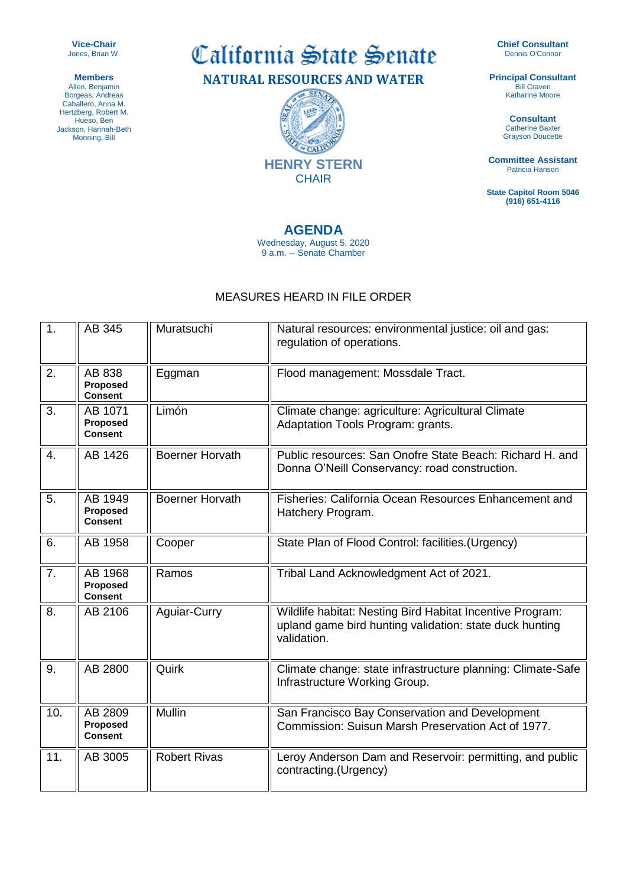**Vice-Chair** Jones, Brian W.

**Members** Allen, Benjamin Borgeas, Andreas Caballero, Anna M. Hertzberg, Robert M. Hueso, Ben Jackson, Hannah-Beth Monning, Bill

California State Senate

**NATURAL RESOURCES AND WATER**

CAD **HENRY STERN CHAIR** 

## **AGENDA**

Wednesday, August 5, 2020 9 a.m. -- Senate Chamber

## MEASURES HEARD IN FILE ORDER

1. AB 345 Muratsuchi Natural resources: environmental justice: oil and gas: regulation of operations. 2.  $\parallel$  AB 838 **Proposed Consent** Eggman || Flood management: Mossdale Tract.  $3$   $AB$  1071 **Proposed Consent** Limón **Climate change: agriculture: Agricultural Climate** Adaptation Tools Program: grants. 4. AB 1426 Boerner Horvath Public resources: San Onofre State Beach: Richard H. and Donna O'Neill Conservancy: road construction.  $5.$   $\parallel$  AB 1949 **Proposed Consent** Boerner Horvath Fisheries: California Ocean Resources Enhancement and Hatchery Program. 6. AB 1958 Cooper State Plan of Flood Control: facilities.(Urgency) 7. **AB 1968 Proposed Consent** Ramos Tribal Land Acknowledgment Act of 2021. 8. AB 2106 Aguiar-Curry Wildlife habitat: Nesting Bird Habitat Incentive Program: upland game bird hunting validation: state duck hunting validation. 9. AB 2800 Quirk Climate change: state infrastructure planning: Climate-Safe Infrastructure Working Group. 10.  $\parallel$  AB 2809 **Proposed Consent** Mullin San Francisco Bay Conservation and Development Commission: Suisun Marsh Preservation Act of 1977. 11. AB 3005 Robert Rivas Leroy Anderson Dam and Reservoir: permitting, and public contracting.(Urgency)

**Chief Consultant** Dennis O'Connor

**Principal Consultant Bill Craven** Katharine Moore

> **Consultant** Catherine Baxter Grayson Doucette

**Committee Assistant** Patricia Hanson

**State Capitol Room 5046 (916) 651-4116**